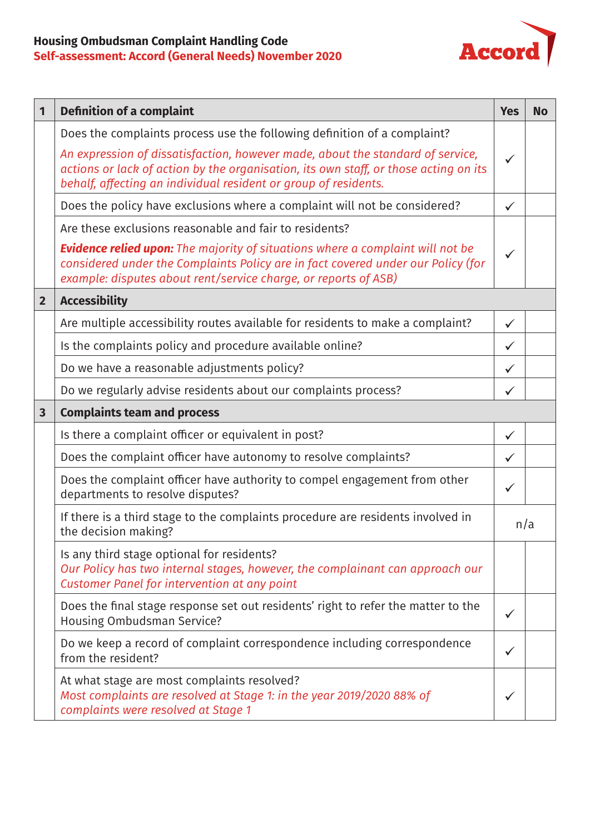## **Housing Ombudsman Complaint Handling Code Self-assessment: Accord (General Needs) November 2020**



| 1                       | <b>Definition of a complaint</b>                                                                                                                                                                                                             | <b>Yes</b>   | <b>No</b> |
|-------------------------|----------------------------------------------------------------------------------------------------------------------------------------------------------------------------------------------------------------------------------------------|--------------|-----------|
|                         | Does the complaints process use the following definition of a complaint?                                                                                                                                                                     |              |           |
|                         | An expression of dissatisfaction, however made, about the standard of service,<br>actions or lack of action by the organisation, its own staff, or those acting on its<br>behalf, affecting an individual resident or group of residents.    | $\checkmark$ |           |
|                         | Does the policy have exclusions where a complaint will not be considered?                                                                                                                                                                    | $\checkmark$ |           |
|                         | Are these exclusions reasonable and fair to residents?                                                                                                                                                                                       |              |           |
|                         | <b>Evidence relied upon:</b> The majority of situations where a complaint will not be<br>considered under the Complaints Policy are in fact covered under our Policy (for<br>example: disputes about rent/service charge, or reports of ASB) | $\checkmark$ |           |
| $\overline{2}$          | <b>Accessibility</b>                                                                                                                                                                                                                         |              |           |
|                         | Are multiple accessibility routes available for residents to make a complaint?                                                                                                                                                               | $\checkmark$ |           |
|                         | Is the complaints policy and procedure available online?                                                                                                                                                                                     | $\checkmark$ |           |
|                         | Do we have a reasonable adjustments policy?                                                                                                                                                                                                  | $\checkmark$ |           |
|                         | Do we regularly advise residents about our complaints process?                                                                                                                                                                               | $\checkmark$ |           |
| $\overline{\mathbf{3}}$ | <b>Complaints team and process</b>                                                                                                                                                                                                           |              |           |
|                         | Is there a complaint officer or equivalent in post?                                                                                                                                                                                          | $\checkmark$ |           |
|                         | Does the complaint officer have autonomy to resolve complaints?                                                                                                                                                                              | ✓            |           |
|                         | Does the complaint officer have authority to compel engagement from other<br>departments to resolve disputes?                                                                                                                                | $\checkmark$ |           |
|                         | If there is a third stage to the complaints procedure are residents involved in<br>the decision making?                                                                                                                                      | n/a          |           |
|                         | Is any third stage optional for residents?<br>Our Policy has two internal stages, however, the complainant can approach our<br>Customer Panel for intervention at any point                                                                  |              |           |
|                         | Does the final stage response set out residents' right to refer the matter to the<br>Housing Ombudsman Service?                                                                                                                              | $\checkmark$ |           |
|                         | Do we keep a record of complaint correspondence including correspondence<br>from the resident?                                                                                                                                               | ✓            |           |
|                         | At what stage are most complaints resolved?<br>Most complaints are resolved at Stage 1: in the year 2019/2020 88% of<br>complaints were resolved at Stage 1                                                                                  |              |           |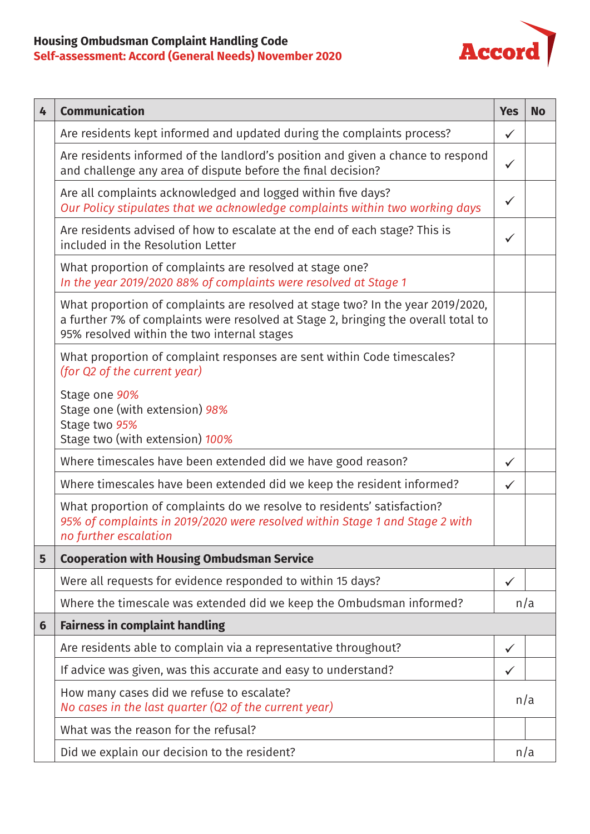## **Housing Ombudsman Complaint Handling Code Self-assessment: Accord (General Needs) November 2020**



| 4 | <b>Communication</b>                                                                                                                                                                                                 | <b>Yes</b>   | <b>No</b> |
|---|----------------------------------------------------------------------------------------------------------------------------------------------------------------------------------------------------------------------|--------------|-----------|
|   | Are residents kept informed and updated during the complaints process?                                                                                                                                               | $\checkmark$ |           |
|   | Are residents informed of the landlord's position and given a chance to respond<br>and challenge any area of dispute before the final decision?                                                                      | $\checkmark$ |           |
|   | Are all complaints acknowledged and logged within five days?<br>Our Policy stipulates that we acknowledge complaints within two working days                                                                         | $\checkmark$ |           |
|   | Are residents advised of how to escalate at the end of each stage? This is<br>included in the Resolution Letter                                                                                                      | $\checkmark$ |           |
|   | What proportion of complaints are resolved at stage one?<br>In the year 2019/2020 88% of complaints were resolved at Stage 1                                                                                         |              |           |
|   | What proportion of complaints are resolved at stage two? In the year 2019/2020,<br>a further 7% of complaints were resolved at Stage 2, bringing the overall total to<br>95% resolved within the two internal stages |              |           |
|   | What proportion of complaint responses are sent within Code timescales?<br>(for Q2 of the current year)                                                                                                              |              |           |
|   | Stage one 90%<br>Stage one (with extension) 98%<br>Stage two 95%<br>Stage two (with extension) 100%                                                                                                                  |              |           |
|   | Where timescales have been extended did we have good reason?                                                                                                                                                         | $\checkmark$ |           |
|   | Where timescales have been extended did we keep the resident informed?                                                                                                                                               | $\checkmark$ |           |
|   | What proportion of complaints do we resolve to residents' satisfaction?<br>95% of complaints in 2019/2020 were resolved within Stage 1 and Stage 2 with<br>no further escalation                                     |              |           |
| 5 | <b>Cooperation with Housing Ombudsman Service</b>                                                                                                                                                                    |              |           |
|   | Were all requests for evidence responded to within 15 days?                                                                                                                                                          | $\checkmark$ |           |
|   | Where the timescale was extended did we keep the Ombudsman informed?                                                                                                                                                 | n/a          |           |
| 6 | <b>Fairness in complaint handling</b>                                                                                                                                                                                |              |           |
|   | Are residents able to complain via a representative throughout?                                                                                                                                                      | $\checkmark$ |           |
|   | If advice was given, was this accurate and easy to understand?                                                                                                                                                       | $\checkmark$ |           |
|   | How many cases did we refuse to escalate?<br>No cases in the last quarter (Q2 of the current year)                                                                                                                   | n/a          |           |
|   | What was the reason for the refusal?                                                                                                                                                                                 |              |           |
|   | Did we explain our decision to the resident?                                                                                                                                                                         | n/a          |           |